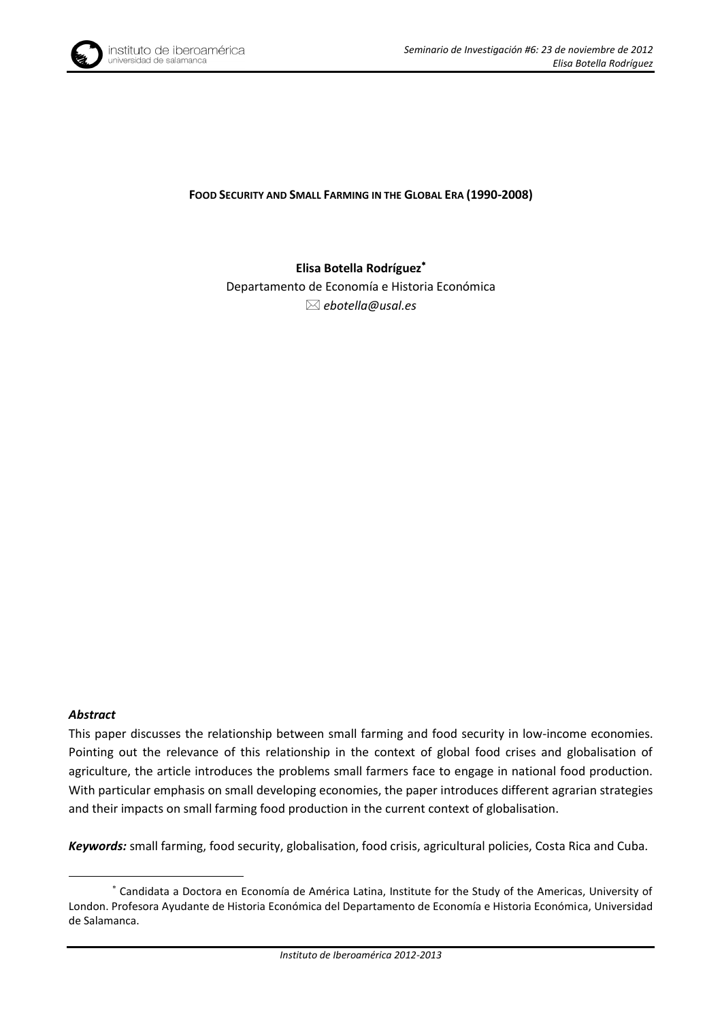

## **FOOD SECURITY AND SMALL FARMING IN THE GLOBAL ERA (1990-2008)**

## **Elisa Botella Rodríguez**

Departamento de Economía e Historia Económica *ebotella@usal.es* 

#### *Abstract*

<u>.</u>

This paper discusses the relationship between small farming and food security in low-income economies. Pointing out the relevance of this relationship in the context of global food crises and globalisation of agriculture, the article introduces the problems small farmers face to engage in national food production. With particular emphasis on small developing economies, the paper introduces different agrarian strategies and their impacts on small farming food production in the current context of globalisation.

*Keywords:* small farming, food security, globalisation, food crisis, agricultural policies, Costa Rica and Cuba.

Candidata a Doctora en Economía de América Latina, Institute for the Study of the Americas, University of London. Profesora Ayudante de Historia Económica del Departamento de Economía e Historia Económica, Universidad de Salamanca.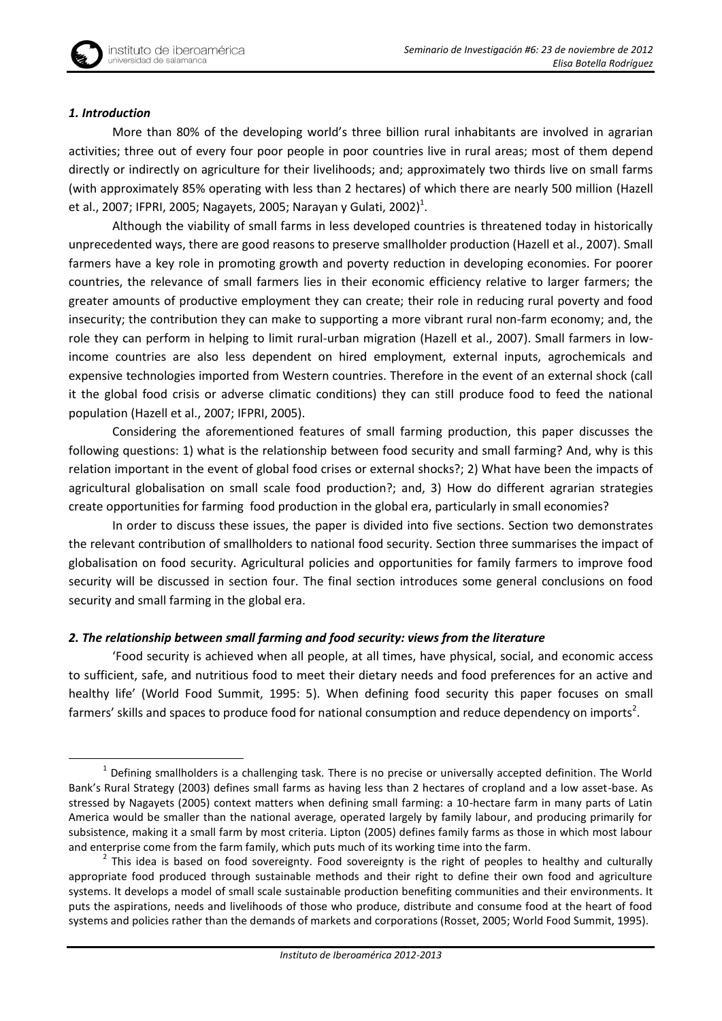## *1. Introduction*

<u>.</u>

More than 80% of the developing world's three billion rural inhabitants are involved in agrarian activities; three out of every four poor people in poor countries live in rural areas; most of them depend directly or indirectly on agriculture for their livelihoods; and; approximately two thirds live on small farms (with approximately 85% operating with less than 2 hectares) of which there are nearly 500 million (Hazell et al., 2007; IFPRI, 2005; Nagayets, 2005; Narayan y Gulati, 2002)<sup>1</sup>.

Although the viability of small farms in less developed countries is threatened today in historically unprecedented ways, there are good reasons to preserve smallholder production (Hazell et al., 2007). Small farmers have a key role in promoting growth and poverty reduction in developing economies. For poorer countries, the relevance of small farmers lies in their economic efficiency relative to larger farmers; the greater amounts of productive employment they can create; their role in reducing rural poverty and food insecurity; the contribution they can make to supporting a more vibrant rural non-farm economy; and, the role they can perform in helping to limit rural-urban migration (Hazell et al., 2007). Small farmers in lowincome countries are also less dependent on hired employment, external inputs, agrochemicals and expensive technologies imported from Western countries. Therefore in the event of an external shock (call it the global food crisis or adverse climatic conditions) they can still produce food to feed the national population (Hazell et al., 2007; IFPRI, 2005).

Considering the aforementioned features of small farming production, this paper discusses the following questions: 1) what is the relationship between food security and small farming? And, why is this relation important in the event of global food crises or external shocks?; 2) What have been the impacts of agricultural globalisation on small scale food production?; and, 3) How do different agrarian strategies create opportunities for farming food production in the global era, particularly in small economies?

In order to discuss these issues, the paper is divided into five sections. Section two demonstrates the relevant contribution of smallholders to national food security. Section three summarises the impact of globalisation on food security. Agricultural policies and opportunities for family farmers to improve food security will be discussed in section four. The final section introduces some general conclusions on food security and small farming in the global era.

## *2. The relationship between small farming and food security: views from the literature*

'Food security is achieved when all people, at all times, have physical, social, and economic access to sufficient, safe, and nutritious food to meet their dietary needs and food preferences for an active and healthy life' (World Food Summit, 1995: 5). When defining food security this paper focuses on small farmers' skills and spaces to produce food for national consumption and reduce dependency on imports<sup>2</sup>.

 $<sup>1</sup>$  Defining smallholders is a challenging task. There is no precise or universally accepted definition. The World</sup> Bank's Rural Strategy (2003) defines small farms as having less than 2 hectares of cropland and a low asset-base. As stressed by Nagayets (2005) context matters when defining small farming: a 10-hectare farm in many parts of Latin America would be smaller than the national average, operated largely by family labour, and producing primarily for subsistence, making it a small farm by most criteria. Lipton (2005) defines family farms as those in which most labour and enterprise come from the farm family, which puts much of its working time into the farm.

 $2$  This idea is based on food sovereignty. Food sovereignty is the right of peoples to healthy and culturally appropriate food produced through sustainable methods and their right to define their own food and agriculture systems. It develops a model of small scale sustainable production benefiting communities and their environments. It puts the aspirations, needs and livelihoods of those who produce, distribute and consume food at the heart of food systems and policies rather than the demands of markets and corporations (Rosset, 2005; World Food Summit, 1995).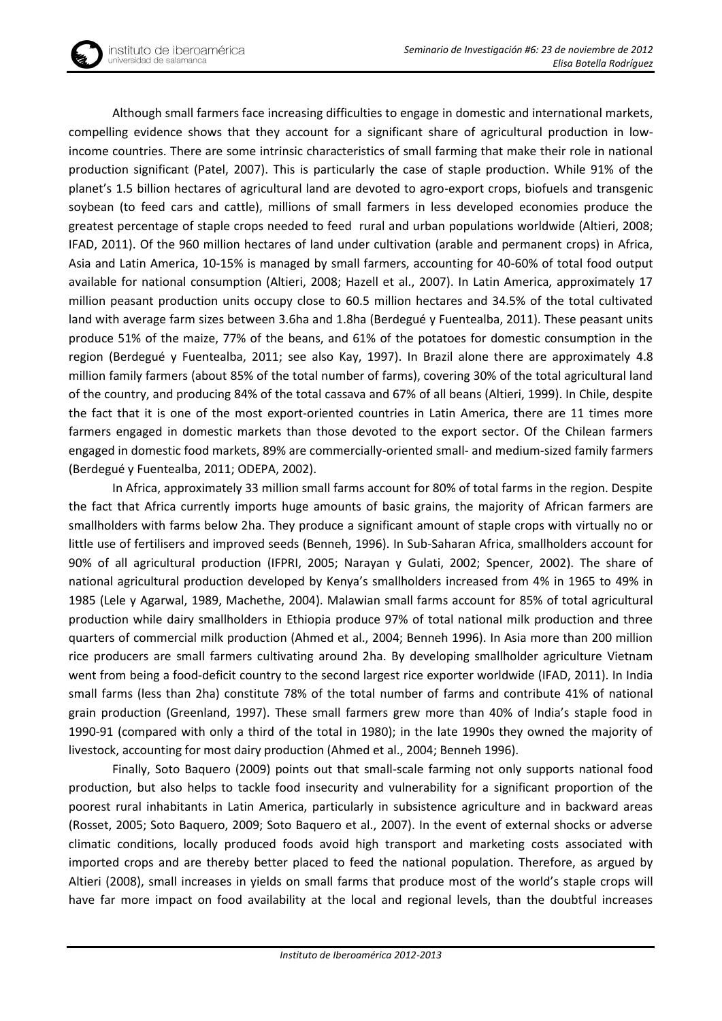Although small farmers face increasing difficulties to engage in domestic and international markets, compelling evidence shows that they account for a significant share of agricultural production in lowincome countries. There are some intrinsic characteristics of small farming that make their role in national production significant (Patel, 2007). This is particularly the case of staple production. While 91% of the planet's 1.5 billion hectares of agricultural land are devoted to agro-export crops, biofuels and transgenic soybean (to feed cars and cattle), millions of small farmers in less developed economies produce the greatest percentage of staple crops needed to feed rural and urban populations worldwide (Altieri, 2008; IFAD, 2011). Of the 960 million hectares of land under cultivation (arable and permanent crops) in Africa, Asia and Latin America, 10-15% is managed by small farmers, accounting for 40-60% of total food output available for national consumption (Altieri, 2008; Hazell et al., 2007). In Latin America, approximately 17 million peasant production units occupy close to 60.5 million hectares and 34.5% of the total cultivated land with average farm sizes between 3.6ha and 1.8ha (Berdegué y Fuentealba, 2011). These peasant units produce 51% of the maize, 77% of the beans, and 61% of the potatoes for domestic consumption in the region (Berdegué y Fuentealba, 2011; see also Kay, 1997). In Brazil alone there are approximately 4.8 million family farmers (about 85% of the total number of farms), covering 30% of the total agricultural land of the country, and producing 84% of the total cassava and 67% of all beans (Altieri, 1999). In Chile, despite the fact that it is one of the most export-oriented countries in Latin America, there are 11 times more farmers engaged in domestic markets than those devoted to the export sector. Of the Chilean farmers engaged in domestic food markets, 89% are commercially-oriented small- and medium-sized family farmers (Berdegué y Fuentealba, 2011; ODEPA, 2002).

In Africa, approximately 33 million small farms account for 80% of total farms in the region. Despite the fact that Africa currently imports huge amounts of basic grains, the majority of African farmers are smallholders with farms below 2ha. They produce a significant amount of staple crops with virtually no or little use of fertilisers and improved seeds (Benneh, 1996). In Sub-Saharan Africa, smallholders account for 90% of all agricultural production (IFPRI, 2005; Narayan y Gulati, 2002; Spencer, 2002). The share of national agricultural production developed by Kenya's smallholders increased from 4% in 1965 to 49% in 1985 (Lele y Agarwal, 1989, Machethe, 2004). Malawian small farms account for 85% of total agricultural production while dairy smallholders in Ethiopia produce 97% of total national milk production and three quarters of commercial milk production (Ahmed et al., 2004; Benneh 1996). In Asia more than 200 million rice producers are small farmers cultivating around 2ha. By developing smallholder agriculture Vietnam went from being a food-deficit country to the second largest rice exporter worldwide (IFAD, 2011). In India small farms (less than 2ha) constitute 78% of the total number of farms and contribute 41% of national grain production (Greenland, 1997). These small farmers grew more than 40% of India's staple food in 1990-91 (compared with only a third of the total in 1980); in the late 1990s they owned the majority of livestock, accounting for most dairy production (Ahmed et al., 2004; Benneh 1996).

Finally, Soto Baquero (2009) points out that small-scale farming not only supports national food production, but also helps to tackle food insecurity and vulnerability for a significant proportion of the poorest rural inhabitants in Latin America, particularly in subsistence agriculture and in backward areas (Rosset, 2005; Soto Baquero, 2009; Soto Baquero et al., 2007). In the event of external shocks or adverse climatic conditions, locally produced foods avoid high transport and marketing costs associated with imported crops and are thereby better placed to feed the national population. Therefore, as argued by Altieri (2008), small increases in yields on small farms that produce most of the world's staple crops will have far more impact on food availability at the local and regional levels, than the doubtful increases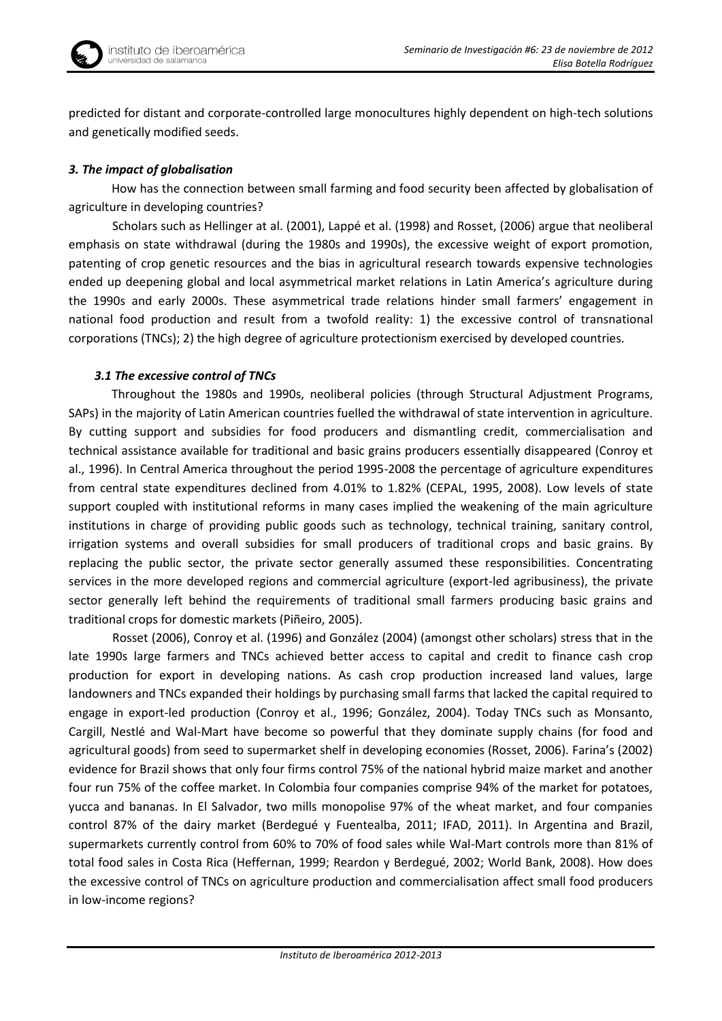

predicted for distant and corporate-controlled large monocultures highly dependent on high-tech solutions and genetically modified seeds.

## *3. The impact of globalisation*

How has the connection between small farming and food security been affected by globalisation of agriculture in developing countries?

Scholars such as Hellinger at al. (2001), Lappé et al. (1998) and Rosset, (2006) argue that neoliberal emphasis on state withdrawal (during the 1980s and 1990s), the excessive weight of export promotion, patenting of crop genetic resources and the bias in agricultural research towards expensive technologies ended up deepening global and local asymmetrical market relations in Latin America's agriculture during the 1990s and early 2000s. These asymmetrical trade relations hinder small farmers' engagement in national food production and result from a twofold reality: 1) the excessive control of transnational corporations (TNCs); 2) the high degree of agriculture protectionism exercised by developed countries.

## *3.1 The excessive control of TNCs*

Throughout the 1980s and 1990s, neoliberal policies (through Structural Adjustment Programs, SAPs) in the majority of Latin American countries fuelled the withdrawal of state intervention in agriculture. By cutting support and subsidies for food producers and dismantling credit, commercialisation and technical assistance available for traditional and basic grains producers essentially disappeared (Conroy et al., 1996). In Central America throughout the period 1995-2008 the percentage of agriculture expenditures from central state expenditures declined from 4.01% to 1.82% (CEPAL, 1995, 2008). Low levels of state support coupled with institutional reforms in many cases implied the weakening of the main agriculture institutions in charge of providing public goods such as technology, technical training, sanitary control, irrigation systems and overall subsidies for small producers of traditional crops and basic grains. By replacing the public sector, the private sector generally assumed these responsibilities. Concentrating services in the more developed regions and commercial agriculture (export-led agribusiness), the private sector generally left behind the requirements of traditional small farmers producing basic grains and traditional crops for domestic markets (Piñeiro, 2005).

Rosset (2006), Conroy et al. (1996) and González (2004) (amongst other scholars) stress that in the late 1990s large farmers and TNCs achieved better access to capital and credit to finance cash crop production for export in developing nations. As cash crop production increased land values, large landowners and TNCs expanded their holdings by purchasing small farms that lacked the capital required to engage in export-led production (Conroy et al., 1996; González, 2004). Today TNCs such as Monsanto, Cargill, Nestlé and Wal-Mart have become so powerful that they dominate supply chains (for food and agricultural goods) from seed to supermarket shelf in developing economies (Rosset, 2006). Farina's (2002) evidence for Brazil shows that only four firms control 75% of the national hybrid maize market and another four run 75% of the coffee market. In Colombia four companies comprise 94% of the market for potatoes, yucca and bananas. In El Salvador, two mills monopolise 97% of the wheat market, and four companies control 87% of the dairy market (Berdegué y Fuentealba, 2011; IFAD, 2011). In Argentina and Brazil, supermarkets currently control from 60% to 70% of food sales while Wal-Mart controls more than 81% of total food sales in Costa Rica (Heffernan, 1999; Reardon y Berdegué, 2002; World Bank, 2008). How does the excessive control of TNCs on agriculture production and commercialisation affect small food producers in low-income regions?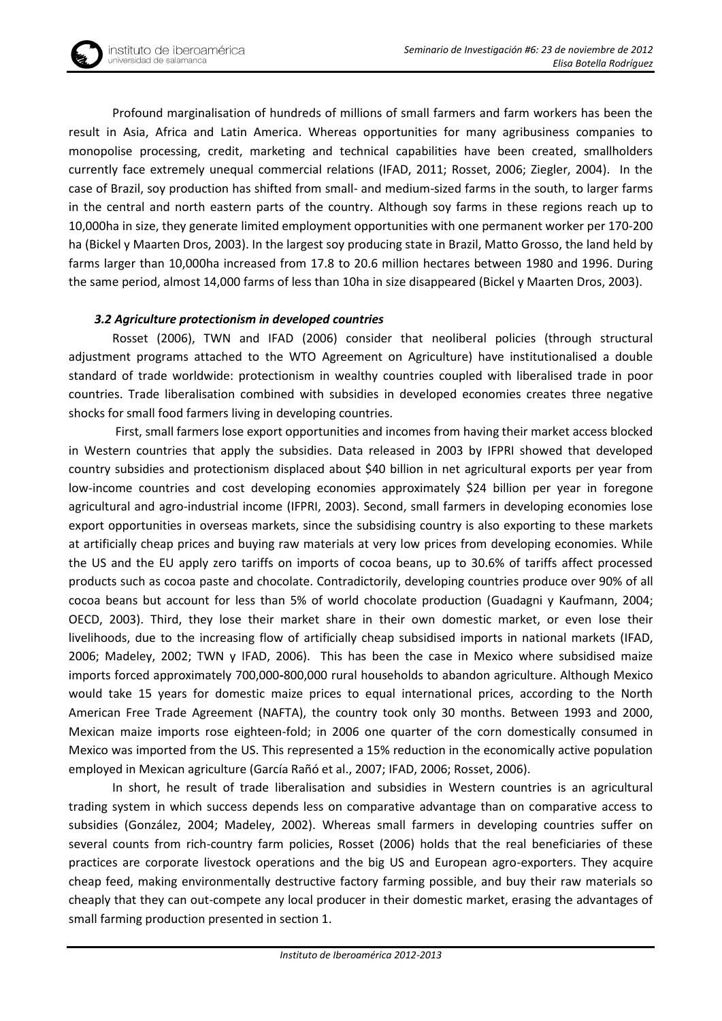Profound marginalisation of hundreds of millions of small farmers and farm workers has been the result in Asia, Africa and Latin America. Whereas opportunities for many agribusiness companies to monopolise processing, credit, marketing and technical capabilities have been created, smallholders currently face extremely unequal commercial relations (IFAD, 2011; Rosset, 2006; Ziegler, 2004). In the case of Brazil, soy production has shifted from small- and medium-sized farms in the south, to larger farms in the central and north eastern parts of the country. Although soy farms in these regions reach up to 10,000ha in size, they generate limited employment opportunities with one permanent worker per 170-200 ha (Bickel y Maarten Dros, 2003). In the largest soy producing state in Brazil, Matto Grosso, the land held by farms larger than 10,000ha increased from 17.8 to 20.6 million hectares between 1980 and 1996. During the same period, almost 14,000 farms of less than 10ha in size disappeared (Bickel y Maarten Dros, 2003).

## *3.2 Agriculture protectionism in developed countries*

Rosset (2006), TWN and IFAD (2006) consider that neoliberal policies (through structural adjustment programs attached to the WTO Agreement on Agriculture) have institutionalised a double standard of trade worldwide: protectionism in wealthy countries coupled with liberalised trade in poor countries. Trade liberalisation combined with subsidies in developed economies creates three negative shocks for small food farmers living in developing countries.

First, small farmers lose export opportunities and incomes from having their market access blocked in Western countries that apply the subsidies. Data released in 2003 by IFPRI showed that developed country subsidies and protectionism displaced about \$40 billion in net agricultural exports per year from low-income countries and cost developing economies approximately \$24 billion per year in foregone agricultural and agro-industrial income (IFPRI, 2003). Second, small farmers in developing economies lose export opportunities in overseas markets, since the subsidising country is also exporting to these markets at artificially cheap prices and buying raw materials at very low prices from developing economies. While the US and the EU apply zero tariffs on imports of cocoa beans, up to 30.6% of tariffs affect processed products such as cocoa paste and chocolate. Contradictorily, developing countries produce over 90% of all cocoa beans but account for less than 5% of world chocolate production (Guadagni y Kaufmann, 2004; OECD, 2003). Third, they lose their market share in their own domestic market, or even lose their livelihoods, due to the increasing flow of artificially cheap subsidised imports in national markets (IFAD, 2006; Madeley, 2002; TWN y IFAD, 2006). This has been the case in Mexico where subsidised maize imports forced approximately 700,000**-**800,000 rural households to abandon agriculture. Although Mexico would take 15 years for domestic maize prices to equal international prices, according to the North American Free Trade Agreement (NAFTA), the country took only 30 months. Between 1993 and 2000, Mexican maize imports rose eighteen-fold; in 2006 one quarter of the corn domestically consumed in Mexico was imported from the US. This represented a 15% reduction in the economically active population employed in Mexican agriculture (García Rañó et al., 2007; IFAD, 2006; Rosset, 2006).

In short, he result of trade liberalisation and subsidies in Western countries is an agricultural trading system in which success depends less on comparative advantage than on comparative access to subsidies (González, 2004; Madeley, 2002). Whereas small farmers in developing countries suffer on several counts from rich-country farm policies, Rosset (2006) holds that the real beneficiaries of these practices are corporate livestock operations and the big US and European agro-exporters. They acquire cheap feed, making environmentally destructive factory farming possible, and buy their raw materials so cheaply that they can out-compete any local producer in their domestic market, erasing the advantages of small farming production presented in section 1.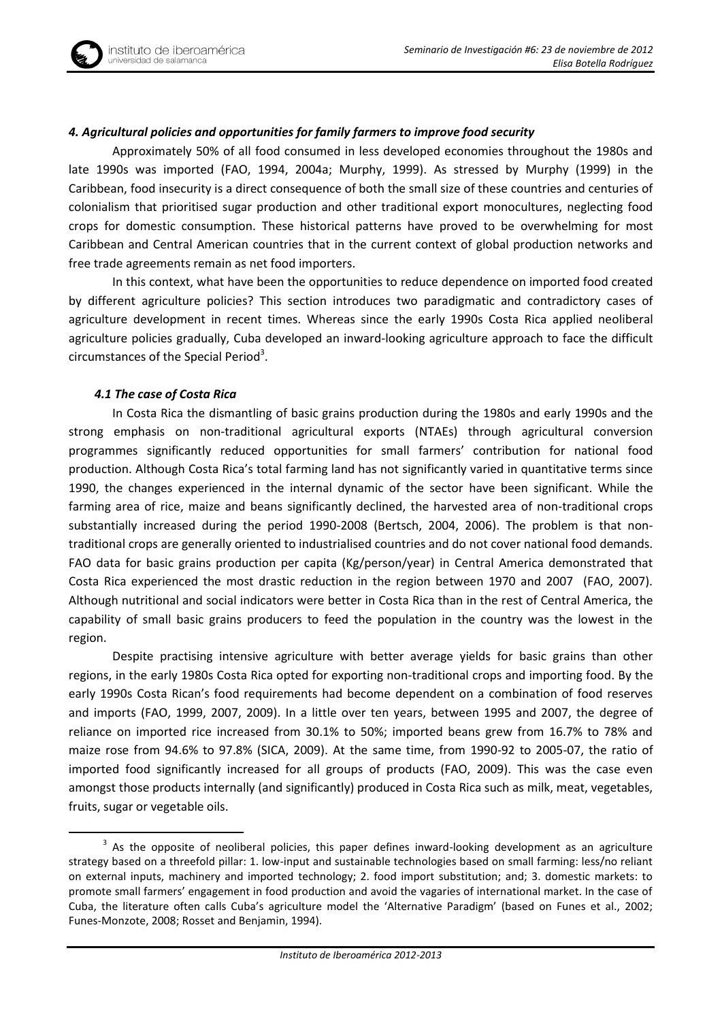## *4. Agricultural policies and opportunities for family farmers to improve food security*

Approximately 50% of all food consumed in less developed economies throughout the 1980s and late 1990s was imported (FAO, 1994, 2004a; Murphy, 1999). As stressed by Murphy (1999) in the Caribbean, food insecurity is a direct consequence of both the small size of these countries and centuries of colonialism that prioritised sugar production and other traditional export monocultures, neglecting food crops for domestic consumption. These historical patterns have proved to be overwhelming for most Caribbean and Central American countries that in the current context of global production networks and free trade agreements remain as net food importers.

In this context, what have been the opportunities to reduce dependence on imported food created by different agriculture policies? This section introduces two paradigmatic and contradictory cases of agriculture development in recent times. Whereas since the early 1990s Costa Rica applied neoliberal agriculture policies gradually, Cuba developed an inward-looking agriculture approach to face the difficult circumstances of the Special Period<sup>3</sup>.

## *4.1 The case of Costa Rica*

<u>.</u>

In Costa Rica the dismantling of basic grains production during the 1980s and early 1990s and the strong emphasis on non-traditional agricultural exports (NTAEs) through agricultural conversion programmes significantly reduced opportunities for small farmers' contribution for national food production. Although Costa Rica's total farming land has not significantly varied in quantitative terms since 1990, the changes experienced in the internal dynamic of the sector have been significant. While the farming area of rice, maize and beans significantly declined, the harvested area of non-traditional crops substantially increased during the period 1990-2008 (Bertsch, 2004, 2006). The problem is that nontraditional crops are generally oriented to industrialised countries and do not cover national food demands. FAO data for basic grains production per capita (Kg/person/year) in Central America demonstrated that Costa Rica experienced the most drastic reduction in the region between 1970 and 2007 (FAO, 2007). Although nutritional and social indicators were better in Costa Rica than in the rest of Central America, the capability of small basic grains producers to feed the population in the country was the lowest in the region.

Despite practising intensive agriculture with better average yields for basic grains than other regions, in the early 1980s Costa Rica opted for exporting non-traditional crops and importing food. By the early 1990s Costa Rican's food requirements had become dependent on a combination of food reserves and imports (FAO, 1999, 2007, 2009). In a little over ten years, between 1995 and 2007, the degree of reliance on imported rice increased from 30.1% to 50%; imported beans grew from 16.7% to 78% and maize rose from 94.6% to 97.8% (SICA, 2009). At the same time, from 1990-92 to 2005-07, the ratio of imported food significantly increased for all groups of products (FAO, 2009). This was the case even amongst those products internally (and significantly) produced in Costa Rica such as milk, meat, vegetables, fruits, sugar or vegetable oils.

<sup>&</sup>lt;sup>3</sup> As the opposite of neoliberal policies, this paper defines inward-looking development as an agriculture strategy based on a threefold pillar: 1. low-input and sustainable technologies based on small farming: less/no reliant on external inputs, machinery and imported technology; 2. food import substitution; and; 3. domestic markets: to promote small farmers' engagement in food production and avoid the vagaries of international market. In the case of Cuba, the literature often calls Cuba's agriculture model the 'Alternative Paradigm' (based on Funes et al., 2002; Funes-Monzote, 2008; Rosset and Benjamin, 1994).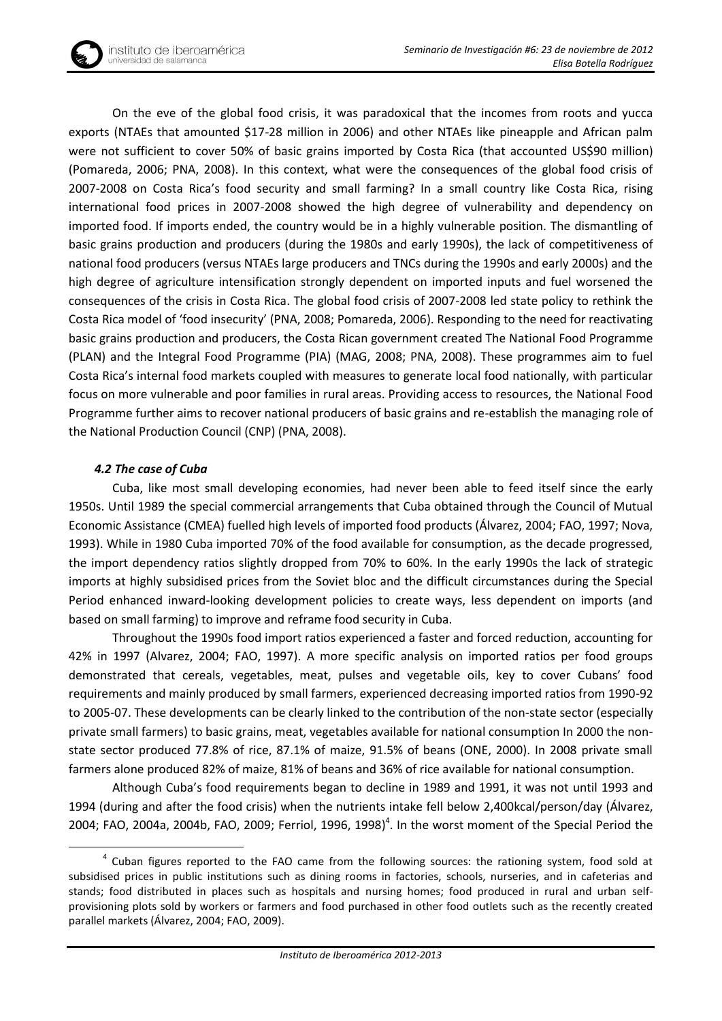On the eve of the global food crisis, it was paradoxical that the incomes from roots and yucca exports (NTAEs that amounted \$17-28 million in 2006) and other NTAEs like pineapple and African palm were not sufficient to cover 50% of basic grains imported by Costa Rica (that accounted US\$90 million) (Pomareda, 2006; PNA, 2008). In this context, what were the consequences of the global food crisis of 2007-2008 on Costa Rica's food security and small farming? In a small country like Costa Rica, rising international food prices in 2007-2008 showed the high degree of vulnerability and dependency on imported food. If imports ended, the country would be in a highly vulnerable position. The dismantling of basic grains production and producers (during the 1980s and early 1990s), the lack of competitiveness of national food producers (versus NTAEs large producers and TNCs during the 1990s and early 2000s) and the high degree of agriculture intensification strongly dependent on imported inputs and fuel worsened the consequences of the crisis in Costa Rica. The global food crisis of 2007-2008 led state policy to rethink the Costa Rica model of 'food insecurity' (PNA, 2008; Pomareda, 2006). Responding to the need for reactivating basic grains production and producers, the Costa Rican government created The National Food Programme (PLAN) and the Integral Food Programme (PIA) (MAG, 2008; PNA, 2008). These programmes aim to fuel Costa Rica's internal food markets coupled with measures to generate local food nationally, with particular focus on more vulnerable and poor families in rural areas. Providing access to resources, the National Food Programme further aims to recover national producers of basic grains and re-establish the managing role of the National Production Council (CNP) (PNA, 2008).

# *4.2 The case of Cuba*

1

Cuba, like most small developing economies, had never been able to feed itself since the early 1950s. Until 1989 the special commercial arrangements that Cuba obtained through the Council of Mutual Economic Assistance (CMEA) fuelled high levels of imported food products (Álvarez, 2004; FAO, 1997; Nova, 1993). While in 1980 Cuba imported 70% of the food available for consumption, as the decade progressed, the import dependency ratios slightly dropped from 70% to 60%. In the early 1990s the lack of strategic imports at highly subsidised prices from the Soviet bloc and the difficult circumstances during the Special Period enhanced inward-looking development policies to create ways, less dependent on imports (and based on small farming) to improve and reframe food security in Cuba.

Throughout the 1990s food import ratios experienced a faster and forced reduction, accounting for 42% in 1997 (Alvarez, 2004; FAO, 1997). A more specific analysis on imported ratios per food groups demonstrated that cereals, vegetables, meat, pulses and vegetable oils, key to cover Cubans' food requirements and mainly produced by small farmers, experienced decreasing imported ratios from 1990-92 to 2005-07. These developments can be clearly linked to the contribution of the non-state sector (especially private small farmers) to basic grains, meat, vegetables available for national consumption In 2000 the nonstate sector produced 77.8% of rice, 87.1% of maize, 91.5% of beans (ONE, 2000). In 2008 private small farmers alone produced 82% of maize, 81% of beans and 36% of rice available for national consumption.

Although Cuba's food requirements began to decline in 1989 and 1991, it was not until 1993 and 1994 (during and after the food crisis) when the nutrients intake fell below 2,400kcal/person/day (Álvarez, 2004; FAO, 2004a, 2004b, FAO, 2009; Ferriol, 1996, 1998)<sup>4</sup>. In the worst moment of the Special Period the

<sup>&</sup>lt;sup>4</sup> Cuban figures reported to the FAO came from the following sources: the rationing system, food sold at subsidised prices in public institutions such as dining rooms in factories, schools, nurseries, and in cafeterias and stands; food distributed in places such as hospitals and nursing homes; food produced in rural and urban selfprovisioning plots sold by workers or farmers and food purchased in other food outlets such as the recently created parallel markets (Álvarez, 2004; FAO, 2009).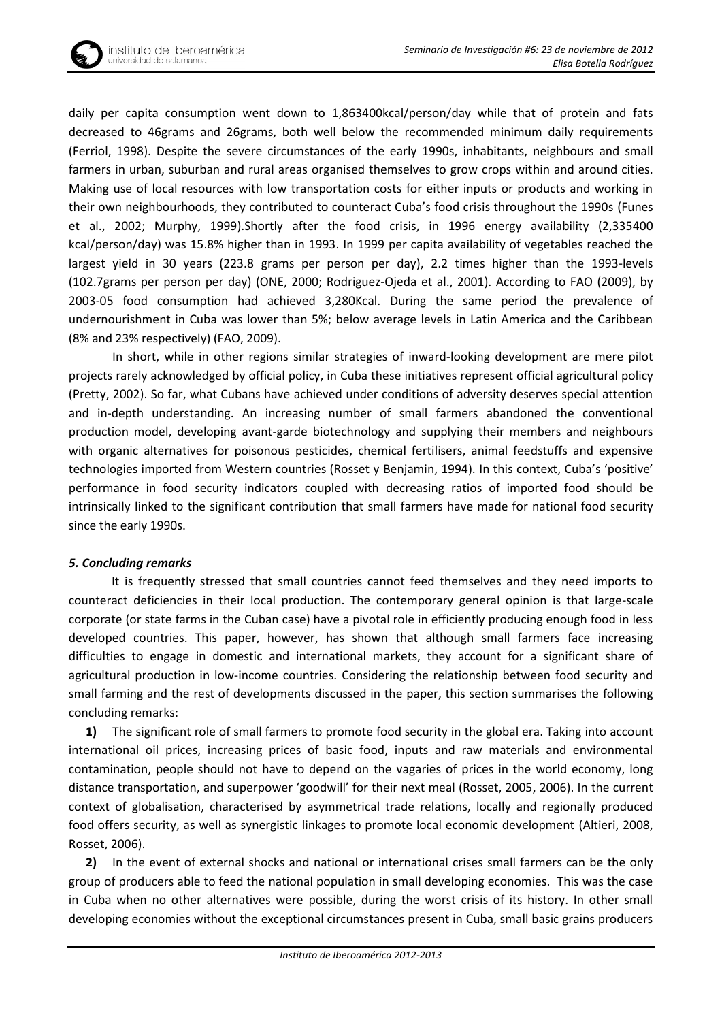

daily per capita consumption went down to 1,863400kcal/person/day while that of protein and fats decreased to 46grams and 26grams, both well below the recommended minimum daily requirements (Ferriol, 1998). Despite the severe circumstances of the early 1990s, inhabitants, neighbours and small farmers in urban, suburban and rural areas organised themselves to grow crops within and around cities. Making use of local resources with low transportation costs for either inputs or products and working in their own neighbourhoods, they contributed to counteract Cuba's food crisis throughout the 1990s (Funes et al., 2002; Murphy, 1999).Shortly after the food crisis, in 1996 energy availability (2,335400 kcal/person/day) was 15.8% higher than in 1993. In 1999 per capita availability of vegetables reached the largest yield in 30 years (223.8 grams per person per day), 2.2 times higher than the 1993-levels (102.7grams per person per day) (ONE, 2000; Rodriguez-Ojeda et al., 2001). According to FAO (2009), by 2003-05 food consumption had achieved 3,280Kcal. During the same period the prevalence of undernourishment in Cuba was lower than 5%; below average levels in Latin America and the Caribbean (8% and 23% respectively) (FAO, 2009).

In short, while in other regions similar strategies of inward-looking development are mere pilot projects rarely acknowledged by official policy, in Cuba these initiatives represent official agricultural policy (Pretty, 2002). So far, what Cubans have achieved under conditions of adversity deserves special attention and in-depth understanding. An increasing number of small farmers abandoned the conventional production model, developing avant-garde biotechnology and supplying their members and neighbours with organic alternatives for poisonous pesticides, chemical fertilisers, animal feedstuffs and expensive technologies imported from Western countries (Rosset y Benjamin, 1994). In this context, Cuba's 'positive' performance in food security indicators coupled with decreasing ratios of imported food should be intrinsically linked to the significant contribution that small farmers have made for national food security since the early 1990s.

## *5. Concluding remarks*

It is frequently stressed that small countries cannot feed themselves and they need imports to counteract deficiencies in their local production. The contemporary general opinion is that large-scale corporate (or state farms in the Cuban case) have a pivotal role in efficiently producing enough food in less developed countries. This paper, however, has shown that although small farmers face increasing difficulties to engage in domestic and international markets, they account for a significant share of agricultural production in low-income countries. Considering the relationship between food security and small farming and the rest of developments discussed in the paper, this section summarises the following concluding remarks:

**1)** The significant role of small farmers to promote food security in the global era. Taking into account international oil prices, increasing prices of basic food, inputs and raw materials and environmental contamination, people should not have to depend on the vagaries of prices in the world economy, long distance transportation, and superpower 'goodwill' for their next meal (Rosset, 2005, 2006). In the current context of globalisation, characterised by asymmetrical trade relations, locally and regionally produced food offers security, as well as synergistic linkages to promote local economic development (Altieri, 2008, Rosset, 2006).

**2)** In the event of external shocks and national or international crises small farmers can be the only group of producers able to feed the national population in small developing economies. This was the case in Cuba when no other alternatives were possible, during the worst crisis of its history. In other small developing economies without the exceptional circumstances present in Cuba, small basic grains producers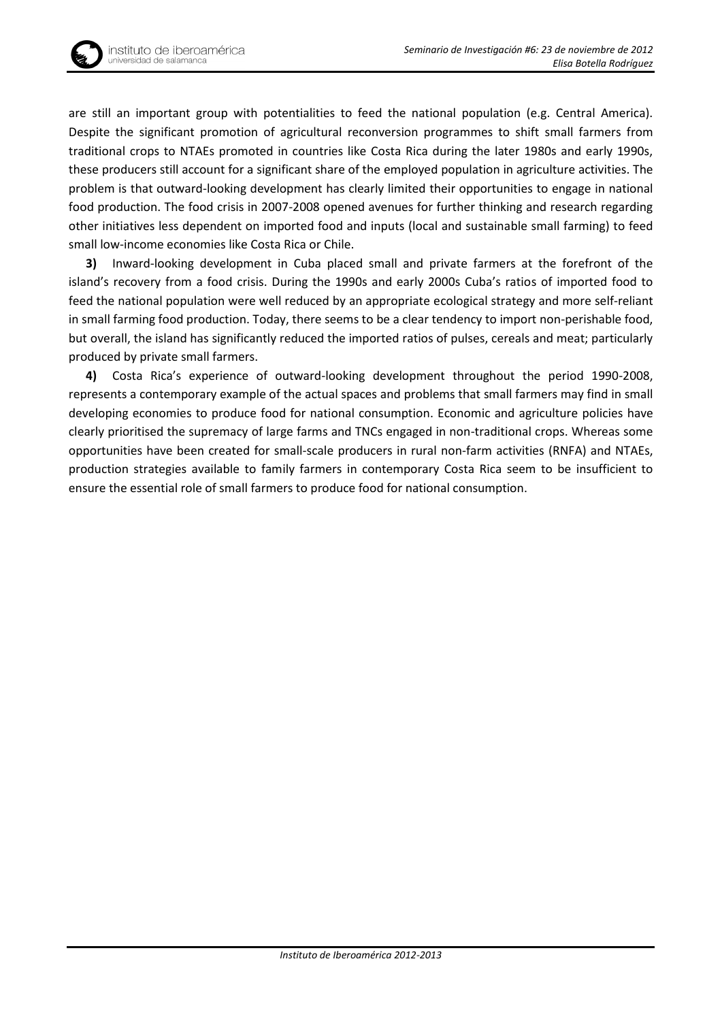are still an important group with potentialities to feed the national population (e.g. Central America). Despite the significant promotion of agricultural reconversion programmes to shift small farmers from traditional crops to NTAEs promoted in countries like Costa Rica during the later 1980s and early 1990s, these producers still account for a significant share of the employed population in agriculture activities. The problem is that outward-looking development has clearly limited their opportunities to engage in national food production. The food crisis in 2007-2008 opened avenues for further thinking and research regarding other initiatives less dependent on imported food and inputs (local and sustainable small farming) to feed small low-income economies like Costa Rica or Chile.

**3)** Inward-looking development in Cuba placed small and private farmers at the forefront of the island's recovery from a food crisis. During the 1990s and early 2000s Cuba's ratios of imported food to feed the national population were well reduced by an appropriate ecological strategy and more self-reliant in small farming food production. Today, there seems to be a clear tendency to import non-perishable food, but overall, the island has significantly reduced the imported ratios of pulses, cereals and meat; particularly produced by private small farmers.

**4)** Costa Rica's experience of outward-looking development throughout the period 1990-2008, represents a contemporary example of the actual spaces and problems that small farmers may find in small developing economies to produce food for national consumption. Economic and agriculture policies have clearly prioritised the supremacy of large farms and TNCs engaged in non-traditional crops. Whereas some opportunities have been created for small-scale producers in rural non-farm activities (RNFA) and NTAEs, production strategies available to family farmers in contemporary Costa Rica seem to be insufficient to ensure the essential role of small farmers to produce food for national consumption.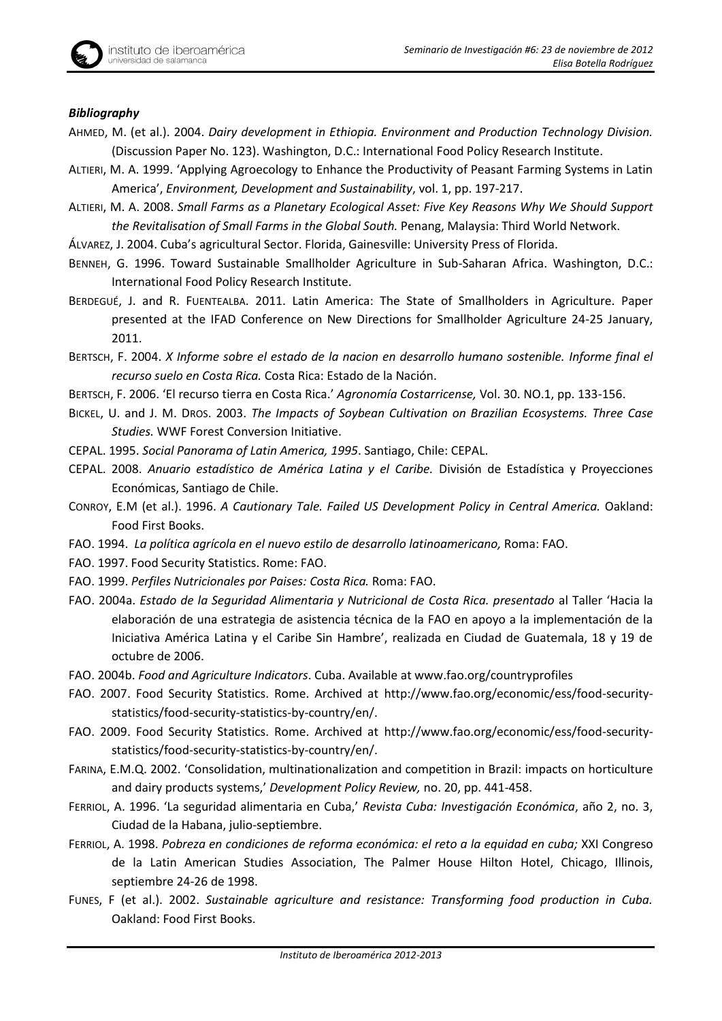## *Bibliography*

- AHMED, M. (et al.). 2004. *Dairy development in Ethiopia. Environment and Production Technology Division.* (Discussion Paper No. 123). Washington, D.C.: International Food Policy Research Institute.
- ALTIERI, M. A. 1999. 'Applying Agroecology to Enhance the Productivity of Peasant Farming Systems in Latin America', *Environment, Development and Sustainability*, vol. 1, pp. 197-217.
- ALTIERI, M. A. 2008. *Small Farms as a Planetary Ecological Asset: Five Key Reasons Why We Should Support the Revitalisation of Small Farms in the Global South.* Penang, Malaysia: Third World Network.
- ÁLVAREZ, J. 2004. Cuba's agricultural Sector. Florida, Gainesville: University Press of Florida.
- BENNEH, G. 1996. Toward Sustainable Smallholder Agriculture in Sub-Saharan Africa. Washington, D.C.: International Food Policy Research Institute.
- BERDEGUÉ, J. and R. FUENTEALBA. 2011. Latin America: The State of Smallholders in Agriculture. Paper presented at the IFAD Conference on New Directions for Smallholder Agriculture 24-25 January, 2011.

BERTSCH, F. 2004. *X Informe sobre el estado de la nacion en desarrollo humano sostenible. Informe final el recurso suelo en Costa Rica.* Costa Rica: Estado de la Nación.

- BERTSCH, F. 2006. 'El recurso tierra en Costa Rica.' *Agronomía Costarricense,* Vol. 30. NO.1, pp. 133-156.
- BICKEL, U. and J. M. DROS. 2003. *The Impacts of Soybean Cultivation on Brazilian Ecosystems. Three Case Studies.* WWF Forest Conversion Initiative.
- CEPAL. 1995. *Social Panorama of Latin America, 1995*. Santiago, Chile: CEPAL.
- CEPAL. 2008. *Anuario estadístico de América Latina y el Caribe.* División de Estadística y Proyecciones Económicas, Santiago de Chile.
- CONROY, E.M (et al.). 1996. *A Cautionary Tale. Failed US Development Policy in Central America.* Oakland: Food First Books.
- FAO. 1994. *La política agrícola en el nuevo estilo de desarrollo latinoamericano,* Roma: FAO.
- FAO. 1997. Food Security Statistics. Rome: FAO.
- FAO. 1999. *Perfiles Nutricionales por Paises: Costa Rica.* Roma: FAO.
- FAO. 2004a. *Estado de la Seguridad Alimentaria y Nutricional de Costa Rica. presentado* al Taller 'Hacia la elaboración de una estrategia de asistencia técnica de la FAO en apoyo a la implementación de la Iniciativa América Latina y el Caribe Sin Hambre', realizada en Ciudad de Guatemala, 18 y 19 de octubre de 2006.
- FAO. 2004b. *Food and Agriculture Indicators*. Cuba. Available at www.fao.org/countryprofiles
- FAO. 2007. Food Security Statistics. Rome. Archived at [http://www.fao.org/economic/ess/food-security](http://www.fao.org/economic/ess/food-security-statistics/food-security-statistics-by-country/en/)[statistics/food-security-statistics-by-country/en/.](http://www.fao.org/economic/ess/food-security-statistics/food-security-statistics-by-country/en/)
- FAO. 2009. Food Security Statistics. Rome. Archived at [http://www.fao.org/economic/ess/food-security](http://www.fao.org/economic/ess/food-security-statistics/food-security-statistics-by-country/en/)[statistics/food-security-statistics-by-country/en/.](http://www.fao.org/economic/ess/food-security-statistics/food-security-statistics-by-country/en/)
- FARINA, E.M.Q. 2002. 'Consolidation, multinationalization and competition in Brazil: impacts on horticulture and dairy products systems,' *Development Policy Review,* no. 20, pp. 441-458.
- FERRIOL, A. 1996. 'La seguridad alimentaria en Cuba,' *Revista Cuba: Investigación Económica*, año 2, no. 3, Ciudad de la Habana, julio-septiembre.
- FERRIOL, A. 1998. *Pobreza en condiciones de reforma económica: el reto a la equidad en cuba;* XXI Congreso de la Latin American Studies Association, The Palmer House Hilton Hotel, Chicago, Illinois, septiembre 24-26 de 1998.
- FUNES, F (et al.). 2002. *Sustainable agriculture and resistance: Transforming food production in Cuba.* Oakland: Food First Books.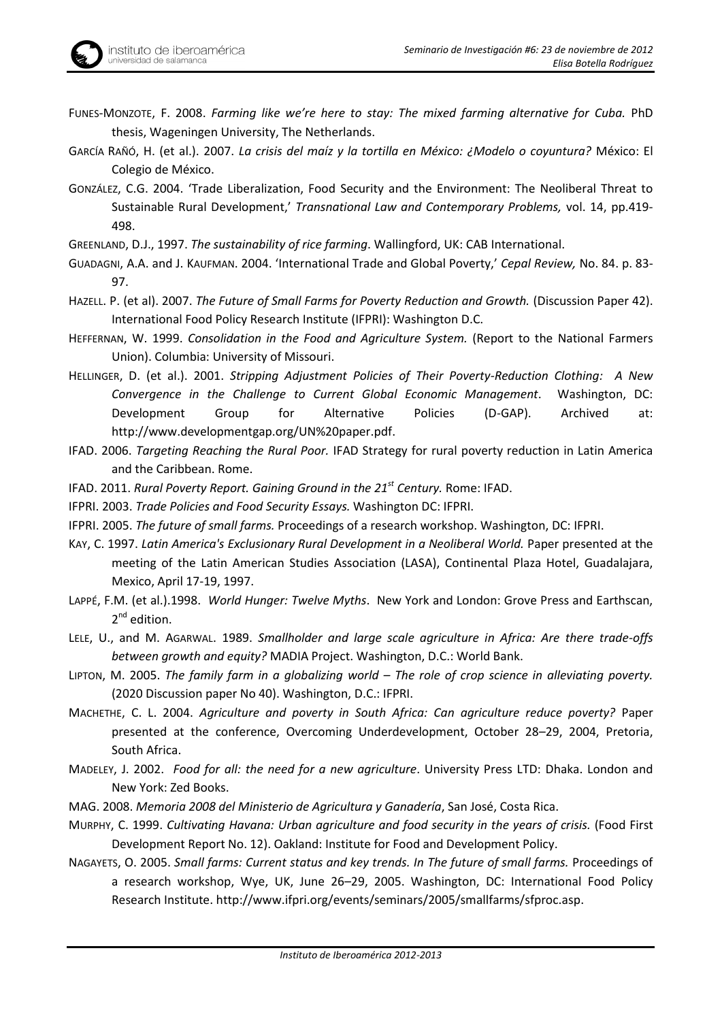- FUNES-MONZOTE, F. 2008. *Farming like we're here to stay: The mixed farming alternative for Cuba.* PhD thesis, Wageningen University, The Netherlands.
- GARCÍA RAÑÓ, H. (et al.). 2007. *La crisis del maíz y la tortilla en México: ¿Modelo o coyuntura?* México: El Colegio de México.
- GONZÁLEZ, C.G. 2004. 'Trade Liberalization, Food Security and the Environment: The Neoliberal Threat to Sustainable Rural Development,' *Transnational Law and Contemporary Problems,* vol. 14, pp.419- 498.

GREENLAND, D.J., 1997. *The sustainability of rice farming*. Wallingford, UK: CAB International.

- GUADAGNI, A.A. and J. KAUFMAN. 2004. 'International Trade and Global Poverty,' *Cepal Review,* No. 84. p. 83- 97.
- HAZELL. P. (et al). 2007. *The Future of Small Farms for Poverty Reduction and Growth.* (Discussion Paper 42). International Food Policy Research Institute (IFPRI): Washington D.C.
- HEFFERNAN, W. 1999. *Consolidation in the Food and Agriculture System.* (Report to the National Farmers Union). Columbia: University of Missouri.
- HELLINGER, D. (et al.). 2001. *Stripping Adjustment Policies of Their Poverty-Reduction Clothing: A New Convergence in the Challenge to Current Global Economic Management*. Washington, DC: Development Group for Alternative Policies (D-GAP). Archived at: [http://www.developmentgap.org/UN%20paper.pdf.](http://www.developmentgap.org/UN%20paper.pdf)
- IFAD. 2006. *Targeting Reaching the Rural Poor.* IFAD Strategy for rural poverty reduction in Latin America and the Caribbean. Rome.
- IFAD. 2011. *Rural Poverty Report. Gaining Ground in the 21st Century.* Rome: IFAD.
- IFPRI. 2003. *Trade Policies and Food Security Essays.* Washington DC: IFPRI.
- IFPRI. 2005. *The future of small farms.* Proceedings of a research workshop. Washington, DC: IFPRI.
- KAY, C. 1997. *Latin America's Exclusionary Rural Development in a Neoliberal World.* Paper presented at the meeting of the Latin American Studies Association (LASA), Continental Plaza Hotel, Guadalajara, Mexico, April 17-19, 1997.
- LAPPÉ, F.M. (et al.).1998. *World Hunger: Twelve Myths*. New York and London: Grove Press and Earthscan, 2<sup>nd</sup> edition.
- LELE, U., and M. AGARWAL. 1989. *Smallholder and large scale agriculture in Africa: Are there trade-offs between growth and equity?* MADIA Project. Washington, D.C.: World Bank.
- LIPTON, M. 2005. *The family farm in a globalizing world – The role of crop science in alleviating poverty.* (2020 Discussion paper No 40). Washington, D.C.: IFPRI.
- MACHETHE, C. L. 2004. *Agriculture and poverty in South Africa: Can agriculture reduce poverty?* Paper presented at the conference, Overcoming Underdevelopment, October 28–29, 2004, Pretoria, South Africa.
- MADELEY, J. 2002. *Food for all: the need for a new agriculture*. University Press LTD: Dhaka. London and New York: Zed Books.
- MAG. 2008. *Memoria 2008 del Ministerio de Agricultura y Ganadería*, San José, Costa Rica.
- MURPHY, C. 1999. *Cultivating Havana: Urban agriculture and food security in the years of crisis.* (Food First Development Report No. 12). Oakland: Institute for Food and Development Policy.
- NAGAYETS, O. 2005. *Small farms: Current status and key trends. In The future of small farms.* Proceedings of a research workshop, Wye, UK, June 26–29, 2005. Washington, DC: International Food Policy Research Institute. [http://www.ifpri.org/events/seminars/2005/smallfarms/sfproc.asp.](http://www.ifpri.org/events/seminars/2005/smallfarms/sfproc.asp)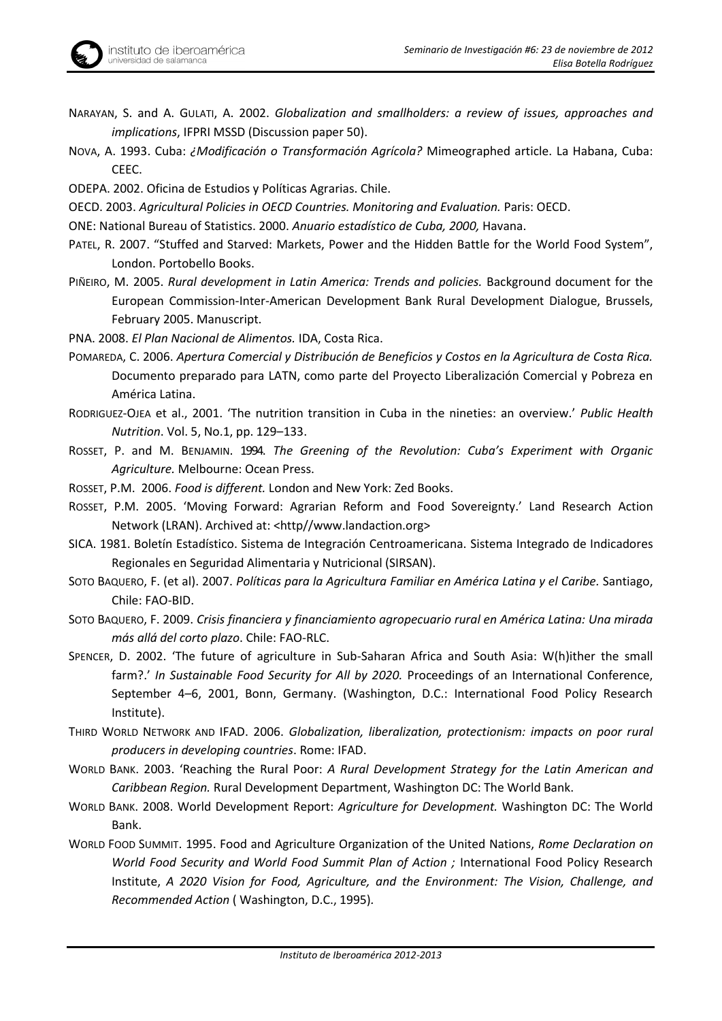- NARAYAN, S. and A. GULATI, A. 2002. *Globalization and smallholders: a review of issues, approaches and implications*, IFPRI MSSD (Discussion paper 50).
- NOVA, A. 1993. Cuba: *¿Modificación o Transformación Agrícola?* Mimeographed article. La Habana, Cuba: CEEC.

ODEPA. 2002. Oficina de Estudios y Políticas Agrarias. Chile.

OECD. 2003. *Agricultural Policies in OECD Countries. Monitoring and Evaluation.* Paris: OECD.

ONE: National Bureau of Statistics. 2000. *Anuario estadístico de Cuba, 2000,* Havana.

- PATEL, R. 2007. "Stuffed and Starved: Markets, Power and the Hidden Battle for the World Food System", London. Portobello Books.
- PIÑEIRO, M. 2005. *Rural development in Latin America: Trends and policies.* Background document for the European Commission-Inter-American Development Bank Rural Development Dialogue, Brussels, February 2005. Manuscript.

PNA. 2008. *El Plan Nacional de Alimentos.* IDA, Costa Rica.

- POMAREDA, C. 2006. *Apertura Comercial y Distribución de Beneficios y Costos en la Agricultura de Costa Rica.*  Documento preparado para LATN, como parte del Proyecto Liberalización Comercial y Pobreza en América Latina.
- RODRIGUEZ-OJEA et al., 2001. 'The nutrition transition in Cuba in the nineties: an overview.' *Public Health Nutrition*. Vol. 5, No.1, pp. 129–133.
- ROSSET, P. and M. BENJAMIN. 1994. *The Greening of the Revolution: Cuba's Experiment with Organic Agriculture.* Melbourne: Ocean Press.
- ROSSET, P.M. 2006. *Food is different.* London and New York: Zed Books.
- ROSSET, P.M. 2005. 'Moving Forward: Agrarian Reform and Food Sovereignty.' Land Research Action Network (LRAN). Archived at: <http//www.landaction.org>
- SICA. 1981. Boletín Estadístico. Sistema de Integración Centroamericana. [Sistema Integrado de Indicadores](http://www.sica.int/sirsan)  [Regionales en Seguridad Alimentaria y Nutricional \(SIRSAN\).](http://www.sica.int/sirsan)
- SOTO BAQUERO, F. (et al). 2007. *Políticas para la Agricultura Familiar en América Latina y el Caribe.* Santiago, Chile: FAO-BID.
- SOTO BAQUERO, F. 2009. *Crisis financiera y financiamiento agropecuario rural en América Latina: Una mirada más allá del corto plazo*. Chile: FAO-RLC.
- SPENCER, D. 2002. 'The future of agriculture in Sub-Saharan Africa and South Asia: W(h)ither the small farm?.' *In Sustainable Food Security for All by 2020.* Proceedings of an International Conference, September 4–6, 2001, Bonn, Germany. (Washington, D.C.: International Food Policy Research Institute).
- THIRD WORLD NETWORK AND IFAD. 2006. *Globalization, liberalization, protectionism: impacts on poor rural producers in developing countries*. Rome: IFAD.
- WORLD BANK. 2003. 'Reaching the Rural Poor: *A Rural Development Strategy for the Latin American and Caribbean Region.* Rural Development Department, Washington DC: The World Bank.
- WORLD BANK. 2008. World Development Report: *Agriculture for Development.* Washington DC: The World Bank.
- WORLD FOOD SUMMIT. 1995. Food and Agriculture Organization of the United Nations, *Rome Declaration on World Food Security and World Food Summit Plan of Action ;* International Food Policy Research Institute, *A 2020 Vision for Food, Agriculture, and the Environment: The Vision, Challenge, and Recommended Action* ( Washington, D.C., 1995)*.*